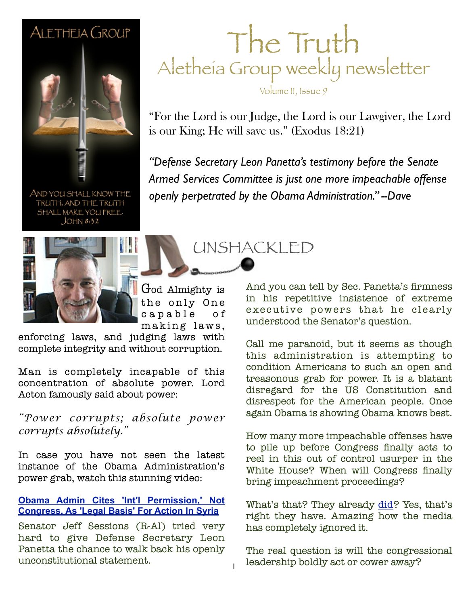#### ALETHEIA GROUP



AND YOU SHALL KNOW THE TRUTH, AND THE TRUTH SHALL MAKE YOU FREE.  $JOHN 8:32$ 



God Almighty is the only One c a p a b l e o f

enforcing laws, and judging laws with complete integrity and without corruption.

Man is completely incapable of this concentration of absolute power. Lord Acton famously said about power:

*"Power corrupts; absolute power corrupts absolutely."*

In case you have not seen the latest instance of the Obama Administration's power grab, watch this stunning video:

#### **[Obama Admin Cites 'Int'l Permission,' Not](http://www.youtube.com/watch?v=5zNwOeyuG84) [Congress, As 'Legal Basis' For Action In Syria](http://www.youtube.com/watch?v=5zNwOeyuG84)**

Senator Jeff Sessions (R-Al) tried very hard to give Defense Secretary Leon Panetta the chance to walk back his openly unconstitutional statement.

#### The Truth Aletheia Group weekly newsletter

Volume II, Issue 9

"For the Lord is our Judge, the Lord is our Lawgiver, the Lord is our King; He will save us." (Exodus 18:21)

**February 26, 2011 Sample** *Armed Services Committee is just one more impeachable offense "Defense Secretary Leon Panetta's testimony before the Senate openly perpetrated by the Obama Administration." --Dave*

UNSHACKLED

making laws,

1

And you can tell by Sec. Panetta's firmness in his repetitive insistence of extreme executive powers that he clearly understood the Senator's question.

Call me paranoid, but it seems as though this administration is attempting to condition Americans to such an open and treasonous grab for power. It is a blatant disregard for the US Constitution and disrespect for the American people. Once again Obama is showing Obama knows best.

How many more impeachable offenses have to pile up before Congress finally acts to reel in this out of control usurper in the White House? When will Congress finally bring impeachment proceedings?

What's that? They already [did?](http://www.wnd.com/2012/03/obama-impeachment-bill-now-in-congress/) Yes, that's right they have. Amazing how the media has completely ignored it.

The real question is will the congressional leadership boldly act or cower away?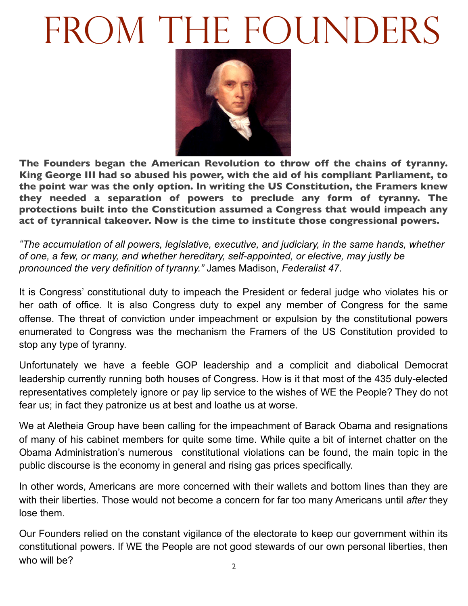## FROM THE FOUNDERS



**The Founders began the American Revolution to throw off the chains of tyranny. King George III had so abused his power, with the aid of his compliant Parliament, to the point war was the only option. In writing the US Constitution, the Framers knew they needed a separation of powers to preclude any form of tyranny. The protections built into the Constitution assumed a Congress that would impeach any act of tyrannical takeover. Now is the time to institute those congressional powers.**

*"The accumulation of all powers, legislative, executive, and judiciary, in the same hands, whether of one, a few, or many, and whether hereditary, self-appointed, or elective, may justly be pronounced the very definition of tyranny."* James Madison, *Federalist 47*.

It is Congress' constitutional duty to impeach the President or federal judge who violates his or her oath of office. It is also Congress duty to expel any member of Congress for the same offense. The threat of conviction under impeachment or expulsion by the constitutional powers enumerated to Congress was the mechanism the Framers of the US Constitution provided to stop any type of tyranny.

Unfortunately we have a feeble GOP leadership and a complicit and diabolical Democrat leadership currently running both houses of Congress. How is it that most of the 435 duly-elected representatives completely ignore or pay lip service to the wishes of WE the People? They do not fear us; in fact they patronize us at best and loathe us at worse.

We at Aletheia Group have been calling for the impeachment of Barack Obama and resignations of many of his cabinet members for quite some time. While quite a bit of internet chatter on the Obama Administration's numerous constitutional violations can be found, the main topic in the public discourse is the economy in general and rising gas prices specifically.

In other words, Americans are more concerned with their wallets and bottom lines than they are with their liberties. Those would not become a concern for far too many Americans until *after* they lose them.

Our Founders relied on the constant vigilance of the electorate to keep our government within its constitutional powers. If WE the People are not good stewards of our own personal liberties, then who will be?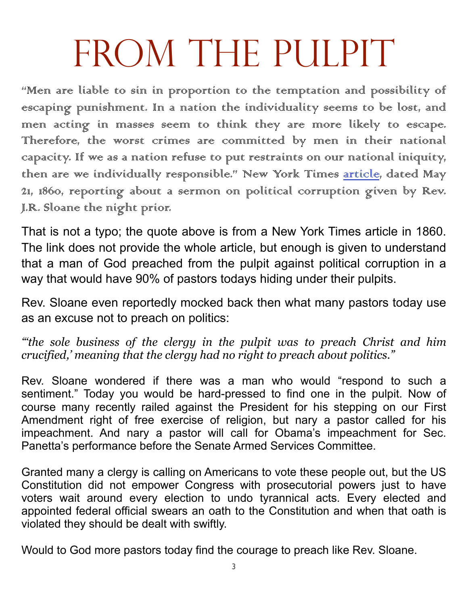# FROM THE PULPIT

"Men are liable to sin in proportion to the temptation and possibility of escaping punishment. In a nation the individuality seems to be lost, and men acting in masses seem to think they are more likely to escape. Therefore, the worst crimes are committed by men in their national capacity. If we as a nation refuse to put restraints on our national iniquity, then are we individually responsible." New York Times [article,](http://www.nytimes.com/1860/05/21/news/sermon-political-corruption-rev-jr-sloane-degradation-political-parties.html) dated May 21, 1860, reporting about a sermon on political corruption given by Rev. J.R. Sloane the night prior.

That is not a typo; the quote above is from a New York Times article in 1860. The link does not provide the whole article, but enough is given to understand that a man of God preached from the pulpit against political corruption in a way that would have 90% of pastors todays hiding under their pulpits.

Rev. Sloane even reportedly mocked back then what many pastors today use as an excuse not to preach on politics:

*"'the sole business of the clergy in the pulpit was to preach Christ and him crucified,' meaning that the clergy had no right to preach about politics."*

Rev. Sloane wondered if there was a man who would "respond to such a sentiment." Today you would be hard-pressed to find one in the pulpit. Now of course many recently railed against the President for his stepping on our First Amendment right of free exercise of religion, but nary a pastor called for his impeachment. And nary a pastor will call for Obama's impeachment for Sec. Panetta's performance before the Senate Armed Services Committee.

Granted many a clergy is calling on Americans to vote these people out, but the US Constitution did not empower Congress with prosecutorial powers just to have voters wait around every election to undo tyrannical acts. Every elected and appointed federal official swears an oath to the Constitution and when that oath is violated they should be dealt with swiftly.

Would to God more pastors today find the courage to preach like Rev. Sloane.